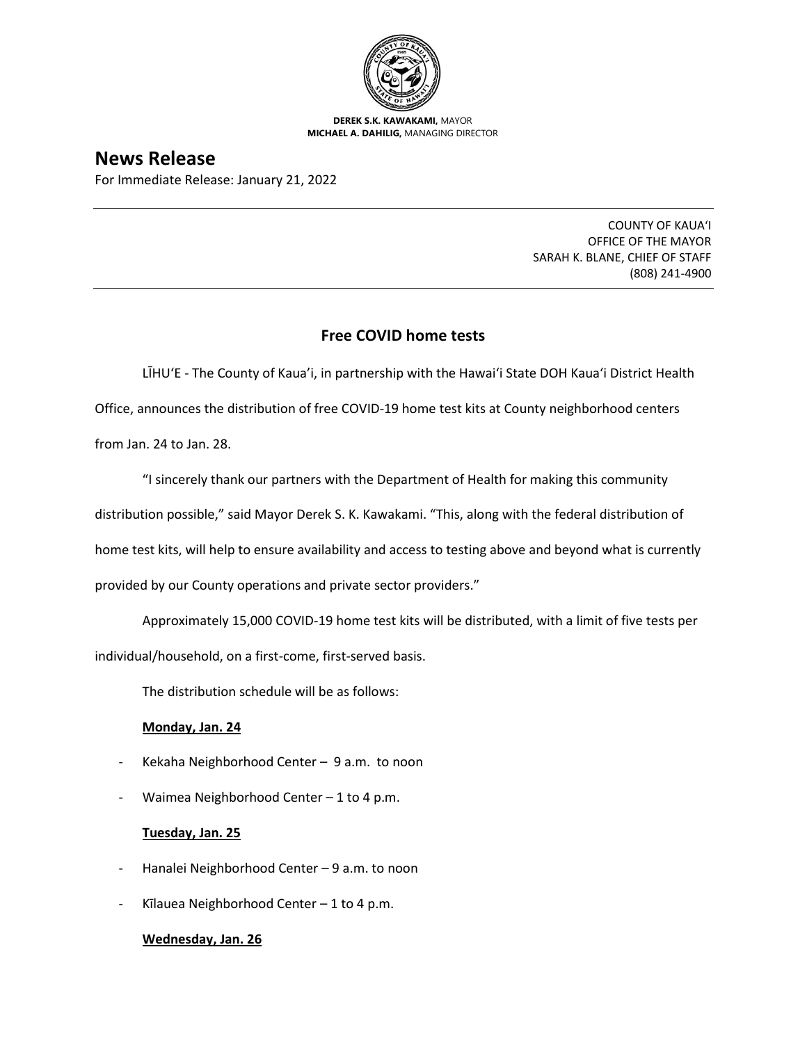

**DEREK S.K. KAWAKAMI,** MAYOR **MICHAEL A. DAHILIG,** MANAGING DIRECTOR

# **News Release**

For Immediate Release: January 21, 2022

COUNTY OF KAUA'I OFFICE OF THE MAYOR SARAH K. BLANE, CHIEF OF STAFF (808) 241-4900

## **Free COVID home tests**

LĪHU'E - The County of Kaua'i, in partnership with the Hawai'i State DOH Kaua'i District Health Office, announces the distribution of free COVID-19 home test kits at County neighborhood centers from Jan. 24 to Jan. 28.

"I sincerely thank our partners with the Department of Health for making this community distribution possible," said Mayor Derek S. K. Kawakami. "This, along with the federal distribution of home test kits, will help to ensure availability and access to testing above and beyond what is currently provided by our County operations and private sector providers."

Approximately 15,000 COVID-19 home test kits will be distributed, with a limit of five tests per individual/household, on a first-come, first-served basis.

The distribution schedule will be as follows:

## **Monday, Jan. 24**

- Kekaha Neighborhood Center 9 a.m. to noon
- Waimea Neighborhood Center  $-1$  to 4 p.m.

#### **Tuesday, Jan. 25**

- Hanalei Neighborhood Center 9 a.m. to noon
- Kīlauea Neighborhood Center  $-1$  to 4 p.m.

#### **Wednesday, Jan. 26**